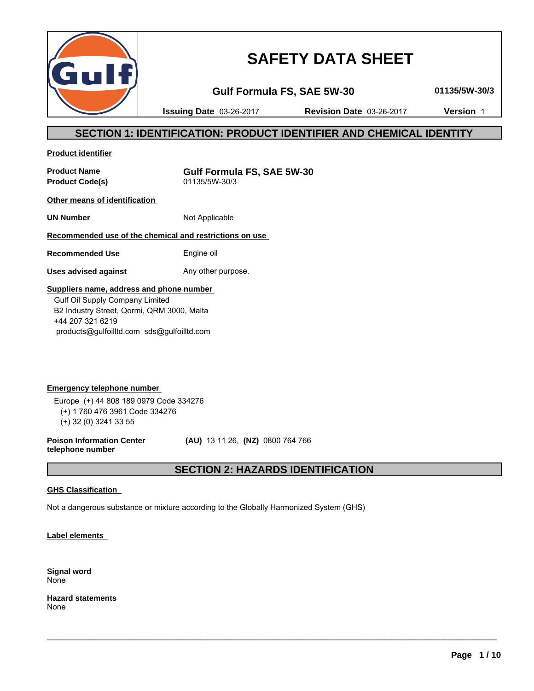

# **SAFETY DATA SHEET**

**Gulf Formula FS, SAE 5W-30 01135/5W-30/3**

**Issuing Date** 03-26-2017 **Revision Date** 03-26-2017 **Version** 1

### **SECTION 1: IDENTIFICATION: PRODUCT IDENTIFIER AND CHEMICAL IDENTITY**

**Product identifier**

**Product Code(s)** 

**Product Name**<br> **Product Code(s)**<br> **Product Code(s)**<br> **Gulf Formula FS, SAE 5W-30** 

**Other means of identification** 

**UN Number** Not Applicable

### **Recommended use of the chemical and restrictions on use**

**Recommended Use** Engine oil

**Uses advised against** Any other purpose.

### **Suppliers name, address and phone number**

 Gulf Oil Supply Company Limited B2 Industry Street, Qormi, QRM 3000, Malta +44 207 321 6219 products@gulfoilltd.com sds@gulfoilltd.com

**Emergency telephone number**  Europe (+) 44 808 189 0979 Code 334276 (+) 1 760 476 3961 Code 334276 (+) 32 (0) 3241 33 55

**Poison Information Center telephone number**

 **(AU)** 13 11 26, **(NZ)** 0800 764 766

### **SECTION 2: HAZARDS IDENTIFICATION**

 $\_$  ,  $\_$  ,  $\_$  ,  $\_$  ,  $\_$  ,  $\_$  ,  $\_$  ,  $\_$  ,  $\_$  ,  $\_$  ,  $\_$  ,  $\_$  ,  $\_$  ,  $\_$  ,  $\_$  ,  $\_$  ,  $\_$  ,  $\_$  ,  $\_$  ,  $\_$  ,  $\_$  ,  $\_$  ,  $\_$  ,  $\_$  ,  $\_$  ,  $\_$  ,  $\_$  ,  $\_$  ,  $\_$  ,  $\_$  ,  $\_$  ,  $\_$  ,  $\_$  ,  $\_$  ,  $\_$  ,  $\_$  ,  $\_$  ,

### **GHS Classification**

Not a dangerous substance or mixture according to the Globally Harmonized System (GHS)

**Label elements** 

**Signal word** None

**Hazard statements** None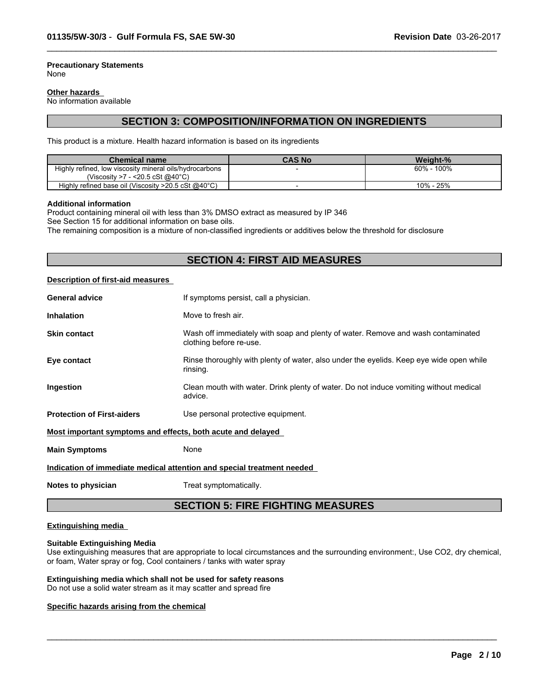#### **Precautionary Statements** None

#### **Other hazards**

No information available

### **SECTION 3: COMPOSITION/INFORMATION ON INGREDIENTS**

 $\_$  ,  $\_$  ,  $\_$  ,  $\_$  ,  $\_$  ,  $\_$  ,  $\_$  ,  $\_$  ,  $\_$  ,  $\_$  ,  $\_$  ,  $\_$  ,  $\_$  ,  $\_$  ,  $\_$  ,  $\_$  ,  $\_$  ,  $\_$  ,  $\_$  ,  $\_$  ,  $\_$  ,  $\_$  ,  $\_$  ,  $\_$  ,  $\_$  ,  $\_$  ,  $\_$  ,  $\_$  ,  $\_$  ,  $\_$  ,  $\_$  ,  $\_$  ,  $\_$  ,  $\_$  ,  $\_$  ,  $\_$  ,  $\_$  ,

This product is a mixture. Health hazard information is based on its ingredients

| <b>Chemical name</b>                                    | CAS No | Weiaht-%      |
|---------------------------------------------------------|--------|---------------|
| Highly refined, low viscosity mineral oils/hydrocarbons |        | 100%<br>60% - |
| 7 - <20.5 cSt @40°C)<br>Viscositv >7                    |        |               |
| Highly refined base oil (Viscosity >20.5 cSt @40°C)     |        | 10% - 25%     |

#### **Additional information**

Product containing mineral oil with less than 3% DMSO extract as measured by IP 346

See Section 15 for additional information on base oils.

The remaining composition is a mixture of non-classified ingredients or additives below the threshold for disclosure

### **SECTION 4: FIRST AID MEASURES**

#### **Description of first-aid measures**

| <b>General advice</b>                                                  | If symptoms persist, call a physician.                                                                      |  |
|------------------------------------------------------------------------|-------------------------------------------------------------------------------------------------------------|--|
| <b>Inhalation</b>                                                      | Move to fresh air.                                                                                          |  |
| <b>Skin contact</b>                                                    | Wash off immediately with soap and plenty of water. Remove and wash contaminated<br>clothing before re-use. |  |
| Eye contact                                                            | Rinse thoroughly with plenty of water, also under the eyelids. Keep eye wide open while<br>rinsing.         |  |
| <b>Ingestion</b>                                                       | Clean mouth with water. Drink plenty of water. Do not induce vomiting without medical<br>advice.            |  |
| <b>Protection of First-aiders</b>                                      | Use personal protective equipment.                                                                          |  |
| Most important symptoms and effects, both acute and delayed            |                                                                                                             |  |
| <b>Main Symptoms</b>                                                   | None                                                                                                        |  |
| Indication of immediate medical attention and special treatment needed |                                                                                                             |  |
|                                                                        |                                                                                                             |  |

**Notes to physician** Treat symptomatically.

### **SECTION 5: FIRE FIGHTING MEASURES**

#### **Extinguishing media**

#### **Suitable Extinguishing Media**

Use extinguishing measures that are appropriate to local circumstances and the surrounding environment:, Use CO2, dry chemical, or foam, Water spray or fog, Cool containers / tanks with water spray

 $\_$  ,  $\_$  ,  $\_$  ,  $\_$  ,  $\_$  ,  $\_$  ,  $\_$  ,  $\_$  ,  $\_$  ,  $\_$  ,  $\_$  ,  $\_$  ,  $\_$  ,  $\_$  ,  $\_$  ,  $\_$  ,  $\_$  ,  $\_$  ,  $\_$  ,  $\_$  ,  $\_$  ,  $\_$  ,  $\_$  ,  $\_$  ,  $\_$  ,  $\_$  ,  $\_$  ,  $\_$  ,  $\_$  ,  $\_$  ,  $\_$  ,  $\_$  ,  $\_$  ,  $\_$  ,  $\_$  ,  $\_$  ,  $\_$  ,

#### **Extinguishing media which shall not be used for safety reasons**

Do not use a solid water stream as it may scatter and spread fire

#### **Specific hazards arising from the chemical**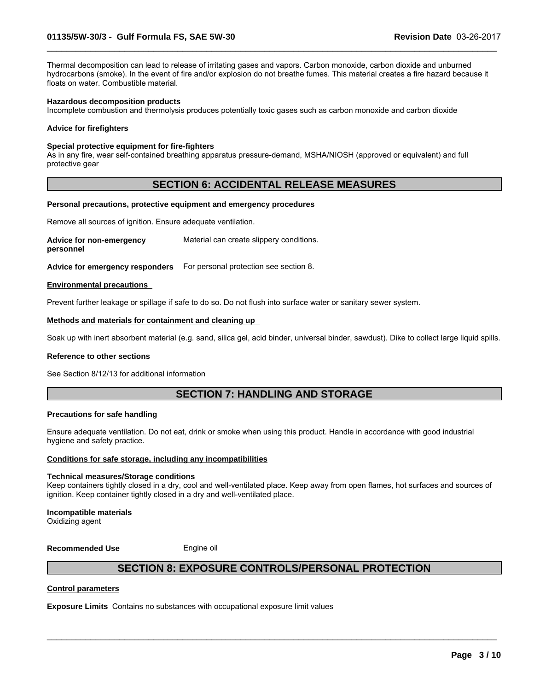Thermal decomposition can lead to release of irritating gases and vapors. Carbon monoxide, carbon dioxide and unburned hydrocarbons (smoke). In the event of fire and/or explosion do not breathe fumes. This material creates a fire hazard because it floats on water. Combustible material.

 $\_$  ,  $\_$  ,  $\_$  ,  $\_$  ,  $\_$  ,  $\_$  ,  $\_$  ,  $\_$  ,  $\_$  ,  $\_$  ,  $\_$  ,  $\_$  ,  $\_$  ,  $\_$  ,  $\_$  ,  $\_$  ,  $\_$  ,  $\_$  ,  $\_$  ,  $\_$  ,  $\_$  ,  $\_$  ,  $\_$  ,  $\_$  ,  $\_$  ,  $\_$  ,  $\_$  ,  $\_$  ,  $\_$  ,  $\_$  ,  $\_$  ,  $\_$  ,  $\_$  ,  $\_$  ,  $\_$  ,  $\_$  ,  $\_$  ,

#### **Hazardous decomposition products**

Incomplete combustion and thermolysis produces potentially toxic gases such as carbon monoxide and carbon dioxide

#### **Advice for firefighters**

#### **Special protective equipment for fire-fighters**

As in any fire, wear self-contained breathing apparatus pressure-demand, MSHA/NIOSH (approved or equivalent) and full protective gear

### **SECTION 6: ACCIDENTAL RELEASE MEASURES**

#### **Personal precautions, protective equipment and emergency procedures**

Remove all sources of ignition. Ensure adequate ventilation.

**Advice for non-emergency personnel** Material can create slippery conditions.

**Advice for emergency responders** For personal protection see section 8.

#### **Environmental precautions**

Prevent further leakage or spillage if safe to do so. Do not flush into surface water or sanitary sewer system.

#### **Methods and materials for containment and cleaning up**

Soak up with inert absorbent material (e.g. sand, silica gel, acid binder, universal binder, sawdust). Dike to collect large liquid spills.

#### **Reference to other sections**

See Section 8/12/13 for additional information

### **SECTION 7: HANDLING AND STORAGE**

#### **Precautions for safe handling**

Ensure adequate ventilation. Do not eat, drink or smoke when using this product. Handle in accordance with good industrial hygiene and safety practice.

#### **Conditions for safe storage, including any incompatibilities**

#### **Technical measures/Storage conditions**

Keep containers tightly closed in a dry, cool and well-ventilated place. Keep away from open flames, hot surfaces and sources of ignition. Keep container tightly closed in a dry and well-ventilated place.

#### **Incompatible materials**

Oxidizing agent

**Recommended Use** Engine oil

### **SECTION 8: EXPOSURE CONTROLS/PERSONAL PROTECTION**

 $\_$  ,  $\_$  ,  $\_$  ,  $\_$  ,  $\_$  ,  $\_$  ,  $\_$  ,  $\_$  ,  $\_$  ,  $\_$  ,  $\_$  ,  $\_$  ,  $\_$  ,  $\_$  ,  $\_$  ,  $\_$  ,  $\_$  ,  $\_$  ,  $\_$  ,  $\_$  ,  $\_$  ,  $\_$  ,  $\_$  ,  $\_$  ,  $\_$  ,  $\_$  ,  $\_$  ,  $\_$  ,  $\_$  ,  $\_$  ,  $\_$  ,  $\_$  ,  $\_$  ,  $\_$  ,  $\_$  ,  $\_$  ,  $\_$  ,

#### **Control parameters**

**Exposure Limits** Contains no substances with occupational exposure limit values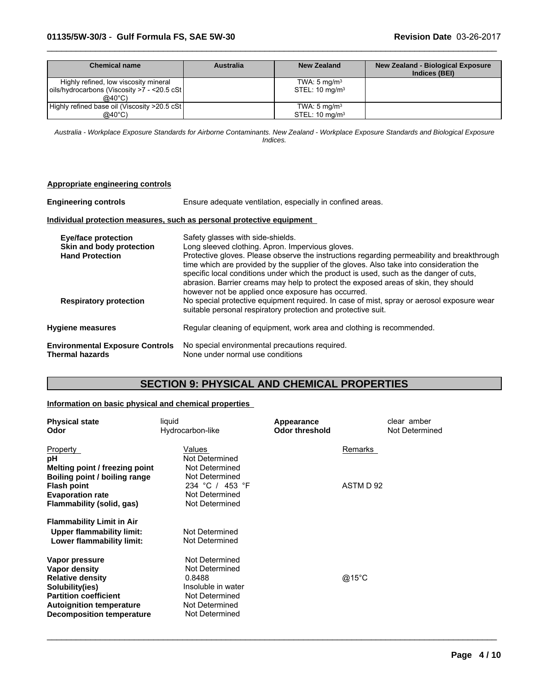| Chemical name                                                                                            | <b>Australia</b> | New Zealand                                             | <b>New Zealand - Biological Exposure</b><br>Indices (BEI) |
|----------------------------------------------------------------------------------------------------------|------------------|---------------------------------------------------------|-----------------------------------------------------------|
| Highly refined, low viscosity mineral<br>oils/hydrocarbons (Viscosity >7 - <20.5 cSt<br>$@40^{\circ}$ C) |                  | TWA: $5 \text{ mg/m}^3$<br>STEL: $10 \text{ mg/m}^3$    |                                                           |
| Highly refined base oil (Viscosity >20.5 cSt)<br>@40°C)                                                  |                  | TWA: $5 \text{ mg/m}^3$<br>$STEL: 10$ ma/m <sup>3</sup> |                                                           |

 $\_$  ,  $\_$  ,  $\_$  ,  $\_$  ,  $\_$  ,  $\_$  ,  $\_$  ,  $\_$  ,  $\_$  ,  $\_$  ,  $\_$  ,  $\_$  ,  $\_$  ,  $\_$  ,  $\_$  ,  $\_$  ,  $\_$  ,  $\_$  ,  $\_$  ,  $\_$  ,  $\_$  ,  $\_$  ,  $\_$  ,  $\_$  ,  $\_$  ,  $\_$  ,  $\_$  ,  $\_$  ,  $\_$  ,  $\_$  ,  $\_$  ,  $\_$  ,  $\_$  ,  $\_$  ,  $\_$  ,  $\_$  ,  $\_$  ,

*Australia - Workplace Exposure Standards for Airborne Contaminants. New Zealand - Workplace Exposure Standards and Biological Exposure Indices.*

| Appropriate engineering controls                                                 |                                                                                                                                                                                                                                                                                                                                                                                                                                                                 |  |  |  |
|----------------------------------------------------------------------------------|-----------------------------------------------------------------------------------------------------------------------------------------------------------------------------------------------------------------------------------------------------------------------------------------------------------------------------------------------------------------------------------------------------------------------------------------------------------------|--|--|--|
| <b>Engineering controls</b>                                                      | Ensure adequate ventilation, especially in confined areas.                                                                                                                                                                                                                                                                                                                                                                                                      |  |  |  |
|                                                                                  | Individual protection measures, such as personal protective equipment                                                                                                                                                                                                                                                                                                                                                                                           |  |  |  |
| <b>Eye/face protection</b><br>Skin and body protection<br><b>Hand Protection</b> | Safety glasses with side-shields.<br>Long sleeved clothing. Apron. Impervious gloves.<br>Protective gloves. Please observe the instructions regarding permeability and breakthrough<br>time which are provided by the supplier of the gloves. Also take into consideration the<br>specific local conditions under which the product is used, such as the danger of cuts,<br>abrasion. Barrier creams may help to protect the exposed areas of skin, they should |  |  |  |
| <b>Respiratory protection</b>                                                    | however not be applied once exposure has occurred.<br>No special protective equipment required. In case of mist, spray or aerosol exposure wear<br>suitable personal respiratory protection and protective suit.                                                                                                                                                                                                                                                |  |  |  |
| <b>Hygiene measures</b>                                                          | Regular cleaning of equipment, work area and clothing is recommended.                                                                                                                                                                                                                                                                                                                                                                                           |  |  |  |
| <b>Environmental Exposure Controls</b><br><b>Thermal hazards</b>                 | No special environmental precautions required.<br>None under normal use conditions                                                                                                                                                                                                                                                                                                                                                                              |  |  |  |

## **SECTION 9: PHYSICAL AND CHEMICAL PROPERTIES**

### **Information on basic physical and chemical properties**

| <b>Physical state</b><br>Odor    | liquid<br>Hydrocarbon-like | Appearance<br><b>Odor threshold</b> | clear amber<br>Not Determined |
|----------------------------------|----------------------------|-------------------------------------|-------------------------------|
| Property                         | Values                     |                                     | Remarks                       |
| pH                               | Not Determined             |                                     |                               |
| Melting point / freezing point   | Not Determined             |                                     |                               |
| Boiling point / boiling range    | Not Determined             |                                     |                               |
| <b>Flash point</b>               | 234 °C / 453 °F            |                                     | ASTM D 92                     |
| <b>Evaporation rate</b>          | Not Determined             |                                     |                               |
| Flammability (solid, gas)        | Not Determined             |                                     |                               |
| <b>Flammability Limit in Air</b> |                            |                                     |                               |
| Upper flammability limit:        | Not Determined             |                                     |                               |
| Lower flammability limit:        | Not Determined             |                                     |                               |
| Vapor pressure                   | Not Determined             |                                     |                               |
| Vapor density                    | Not Determined             |                                     |                               |
| <b>Relative density</b>          | 0.8488                     |                                     | @15°C                         |
| Solubility(ies)                  | Insoluble in water         |                                     |                               |
| <b>Partition coefficient</b>     | Not Determined             |                                     |                               |
| <b>Autoignition temperature</b>  | Not Determined             |                                     |                               |
| <b>Decomposition temperature</b> | Not Determined             |                                     |                               |

 $\_$  ,  $\_$  ,  $\_$  ,  $\_$  ,  $\_$  ,  $\_$  ,  $\_$  ,  $\_$  ,  $\_$  ,  $\_$  ,  $\_$  ,  $\_$  ,  $\_$  ,  $\_$  ,  $\_$  ,  $\_$  ,  $\_$  ,  $\_$  ,  $\_$  ,  $\_$  ,  $\_$  ,  $\_$  ,  $\_$  ,  $\_$  ,  $\_$  ,  $\_$  ,  $\_$  ,  $\_$  ,  $\_$  ,  $\_$  ,  $\_$  ,  $\_$  ,  $\_$  ,  $\_$  ,  $\_$  ,  $\_$  ,  $\_$  ,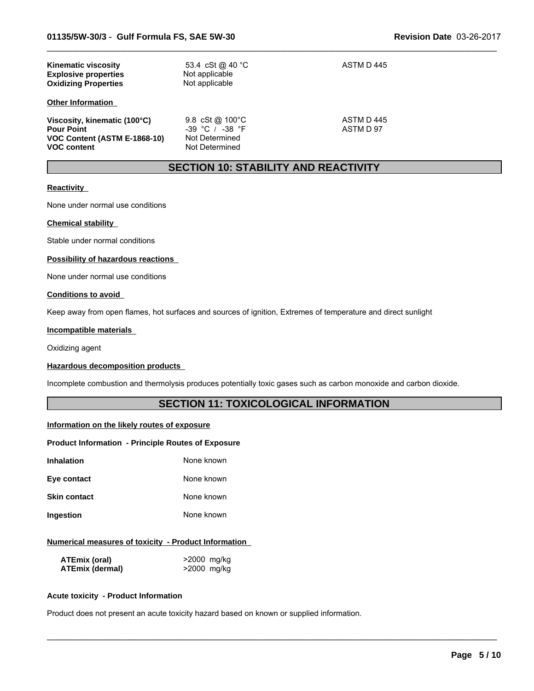| <b>Kinematic viscosity</b><br><b>Explosive properties</b><br><b>Oxidizing Properties</b>                | 53.4 cSt @ 40 °C<br>Not applicable<br>Not applicable                                 | ASTM D 445             |
|---------------------------------------------------------------------------------------------------------|--------------------------------------------------------------------------------------|------------------------|
| <b>Other Information</b>                                                                                |                                                                                      |                        |
| Viscosity, kinematic (100°C)<br><b>Pour Point</b><br>VOC Content (ASTM E-1868-10)<br><b>VOC content</b> | 9.8 cSt @ $100^{\circ}$ C<br>$-39$ °C / $-38$ °F<br>Not Determined<br>Not Determined | ASTM D445<br>ASTM D 97 |

### **SECTION 10: STABILITY AND REACTIVITY**

 $\_$  ,  $\_$  ,  $\_$  ,  $\_$  ,  $\_$  ,  $\_$  ,  $\_$  ,  $\_$  ,  $\_$  ,  $\_$  ,  $\_$  ,  $\_$  ,  $\_$  ,  $\_$  ,  $\_$  ,  $\_$  ,  $\_$  ,  $\_$  ,  $\_$  ,  $\_$  ,  $\_$  ,  $\_$  ,  $\_$  ,  $\_$  ,  $\_$  ,  $\_$  ,  $\_$  ,  $\_$  ,  $\_$  ,  $\_$  ,  $\_$  ,  $\_$  ,  $\_$  ,  $\_$  ,  $\_$  ,  $\_$  ,  $\_$  ,

#### **Reactivity**

None under normal use conditions

#### **Chemical stability**

Stable under normal conditions

#### **Possibility of hazardous reactions**

None under normal use conditions

#### **Conditions to avoid**

Keep away from open flames, hot surfaces and sources of ignition, Extremes of temperature and direct sunlight

#### **Incompatible materials**

Oxidizing agent

#### **Hazardous decomposition products**

Incomplete combustion and thermolysis produces potentially toxic gases such as carbon monoxide and carbon dioxide.

### **SECTION 11: TOXICOLOGICAL INFORMATION**

 $\_$  ,  $\_$  ,  $\_$  ,  $\_$  ,  $\_$  ,  $\_$  ,  $\_$  ,  $\_$  ,  $\_$  ,  $\_$  ,  $\_$  ,  $\_$  ,  $\_$  ,  $\_$  ,  $\_$  ,  $\_$  ,  $\_$  ,  $\_$  ,  $\_$  ,  $\_$  ,  $\_$  ,  $\_$  ,  $\_$  ,  $\_$  ,  $\_$  ,  $\_$  ,  $\_$  ,  $\_$  ,  $\_$  ,  $\_$  ,  $\_$  ,  $\_$  ,  $\_$  ,  $\_$  ,  $\_$  ,  $\_$  ,  $\_$  ,

#### **Information on the likely routes of exposure**

#### **Product Information - Principle Routes of Exposure**

| Inhalation   | None known |
|--------------|------------|
| Eye contact  | None known |
| Skin contact | None known |

**Ingestion** None known

### **Numerical measures of toxicity - Product Information**

| ATEmix (oral)   | >2000 mg/kg |
|-----------------|-------------|
| ATEmix (dermal) | >2000 mg/kg |

### **Acute toxicity - Product Information**

Product does not present an acute toxicity hazard based on known or supplied information.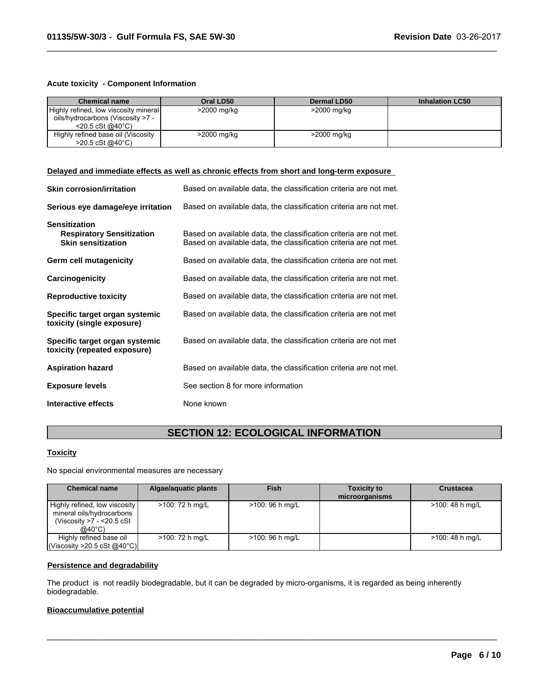#### **Acute toxicity - Component Information**

| <b>Chemical name</b>                  | Oral LD50   | <b>Dermal LD50</b> | <b>Inhalation LC50</b> |
|---------------------------------------|-------------|--------------------|------------------------|
| Highly refined, low viscosity mineral | >2000 mg/kg | >2000 mg/kg        |                        |
| oils/hydrocarbons (Viscosity >7 -     |             |                    |                        |
| $<$ 20.5 cSt @40 $^{\circ}$ C)        |             |                    |                        |
| Highly refined base oil (Viscosity    | >2000 mg/kg | >2000 mg/kg        |                        |
| $>20.5 \text{ cSt}$ @ 40 °C)          |             |                    |                        |

 $\_$  ,  $\_$  ,  $\_$  ,  $\_$  ,  $\_$  ,  $\_$  ,  $\_$  ,  $\_$  ,  $\_$  ,  $\_$  ,  $\_$  ,  $\_$  ,  $\_$  ,  $\_$  ,  $\_$  ,  $\_$  ,  $\_$  ,  $\_$  ,  $\_$  ,  $\_$  ,  $\_$  ,  $\_$  ,  $\_$  ,  $\_$  ,  $\_$  ,  $\_$  ,  $\_$  ,  $\_$  ,  $\_$  ,  $\_$  ,  $\_$  ,  $\_$  ,  $\_$  ,  $\_$  ,  $\_$  ,  $\_$  ,  $\_$  ,

#### **Delayed and immediate effects as well as chronic effects from short and long-term exposure**

| <b>Skin corrosion/irritation</b>                                                      | Based on available data, the classification criteria are not met.                                                                      |
|---------------------------------------------------------------------------------------|----------------------------------------------------------------------------------------------------------------------------------------|
| Serious eye damage/eye irritation                                                     | Based on available data, the classification criteria are not met.                                                                      |
| <b>Sensitization</b><br><b>Respiratory Sensitization</b><br><b>Skin sensitization</b> | Based on available data, the classification criteria are not met.<br>Based on available data, the classification criteria are not met. |
| Germ cell mutagenicity                                                                | Based on available data, the classification criteria are not met.                                                                      |
| Carcinogenicity                                                                       | Based on available data, the classification criteria are not met.                                                                      |
| <b>Reproductive toxicity</b>                                                          | Based on available data, the classification criteria are not met.                                                                      |
| Specific target organ systemic<br>toxicity (single exposure)                          | Based on available data, the classification criteria are not met                                                                       |
| Specific target organ systemic<br>toxicity (repeated exposure)                        | Based on available data, the classification criteria are not met                                                                       |
| <b>Aspiration hazard</b>                                                              | Based on available data, the classification criteria are not met.                                                                      |
| <b>Exposure levels</b>                                                                | See section 8 for more information                                                                                                     |
| Interactive effects                                                                   | None known                                                                                                                             |

### **SECTION 12: ECOLOGICAL INFORMATION**

### **Toxicity**

No special environmental measures are necessary

| <b>Chemical name</b>                                                                              | Algae/aguatic plants | <b>Fish</b>      | <b>Toxicity to</b><br>microorganisms | <b>Crustacea</b> |
|---------------------------------------------------------------------------------------------------|----------------------|------------------|--------------------------------------|------------------|
| Highly refined, low viscosity<br>mineral oils/hydrocarbons<br>(Viscosity >7 - <20.5 cSt<br>@40°C) | >100: 72 h mg/L      | $>100:96$ h mg/L |                                      | >100: 48 h mg/L  |
| Highly refined base oil<br>(Viscosity > 20.5 cSt @40°C)                                           | >100: 72 h mg/L      | >100: 96 h mg/L  |                                      | >100: 48 h mg/L  |

 $\_$  ,  $\_$  ,  $\_$  ,  $\_$  ,  $\_$  ,  $\_$  ,  $\_$  ,  $\_$  ,  $\_$  ,  $\_$  ,  $\_$  ,  $\_$  ,  $\_$  ,  $\_$  ,  $\_$  ,  $\_$  ,  $\_$  ,  $\_$  ,  $\_$  ,  $\_$  ,  $\_$  ,  $\_$  ,  $\_$  ,  $\_$  ,  $\_$  ,  $\_$  ,  $\_$  ,  $\_$  ,  $\_$  ,  $\_$  ,  $\_$  ,  $\_$  ,  $\_$  ,  $\_$  ,  $\_$  ,  $\_$  ,  $\_$  ,

#### **Persistence and degradability**

The product is not readily biodegradable, but it can be degraded by micro-organisms, it is regarded as being inherently biodegradable.

### **Bioaccumulative potential**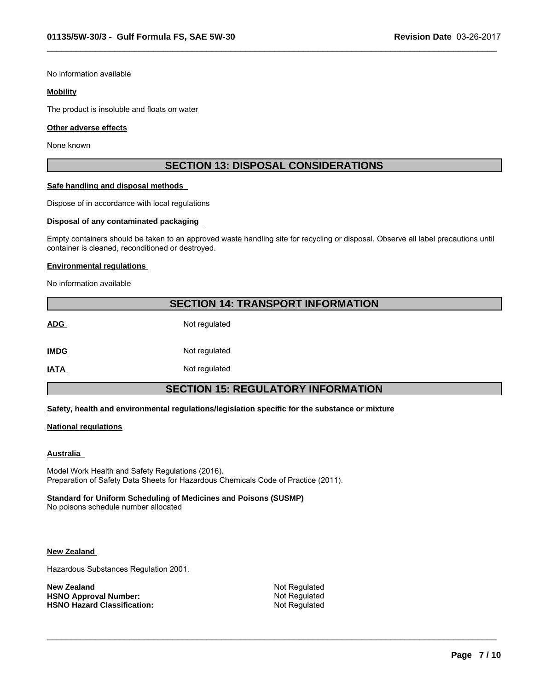No information available

#### **Mobility**

The product is insoluble and floats on water

#### **Other adverse effects**

None known

### **SECTION 13: DISPOSAL CONSIDERATIONS**

 $\_$  ,  $\_$  ,  $\_$  ,  $\_$  ,  $\_$  ,  $\_$  ,  $\_$  ,  $\_$  ,  $\_$  ,  $\_$  ,  $\_$  ,  $\_$  ,  $\_$  ,  $\_$  ,  $\_$  ,  $\_$  ,  $\_$  ,  $\_$  ,  $\_$  ,  $\_$  ,  $\_$  ,  $\_$  ,  $\_$  ,  $\_$  ,  $\_$  ,  $\_$  ,  $\_$  ,  $\_$  ,  $\_$  ,  $\_$  ,  $\_$  ,  $\_$  ,  $\_$  ,  $\_$  ,  $\_$  ,  $\_$  ,  $\_$  ,

#### **Safe handling and disposal methods**

Dispose of in accordance with local regulations

#### **Disposal of any contaminated packaging**

Empty containers should be taken to an approved waste handling site for recycling or disposal. Observe all label precautions until container is cleaned, reconditioned or destroyed.

#### **Environmental regulations**

No information available

### **SECTION 14: TRANSPORT INFORMATION**

ADG Not regulated **IMDG** Not regulated

**IATA** Not regulated

### **SECTION 15: REGULATORY INFORMATION**

#### **Safety, health and environmental regulations/legislation specific for the substance or mixture**

#### **National regulations**

#### **Australia**

Model Work Health and Safety Regulations (2016). Preparation of Safety Data Sheets for Hazardous Chemicals Code of Practice (2011).

#### **Standard for Uniform Scheduling of Medicines and Poisons (SUSMP)**

No poisons schedule number allocated

#### **New Zealand**

Hazardous Substances Regulation 2001.

| <b>New Zealand</b>                 |
|------------------------------------|
| <b>HSNO Approval Number:</b>       |
| <b>HSNO Hazard Classification:</b> |

**Not Regulated Not Regulated Not Regulated** 

 $\_$  ,  $\_$  ,  $\_$  ,  $\_$  ,  $\_$  ,  $\_$  ,  $\_$  ,  $\_$  ,  $\_$  ,  $\_$  ,  $\_$  ,  $\_$  ,  $\_$  ,  $\_$  ,  $\_$  ,  $\_$  ,  $\_$  ,  $\_$  ,  $\_$  ,  $\_$  ,  $\_$  ,  $\_$  ,  $\_$  ,  $\_$  ,  $\_$  ,  $\_$  ,  $\_$  ,  $\_$  ,  $\_$  ,  $\_$  ,  $\_$  ,  $\_$  ,  $\_$  ,  $\_$  ,  $\_$  ,  $\_$  ,  $\_$  ,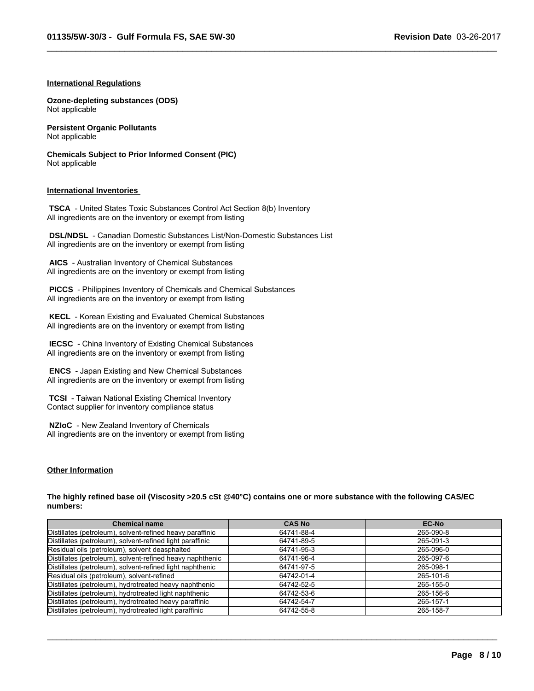$\_$  ,  $\_$  ,  $\_$  ,  $\_$  ,  $\_$  ,  $\_$  ,  $\_$  ,  $\_$  ,  $\_$  ,  $\_$  ,  $\_$  ,  $\_$  ,  $\_$  ,  $\_$  ,  $\_$  ,  $\_$  ,  $\_$  ,  $\_$  ,  $\_$  ,  $\_$  ,  $\_$  ,  $\_$  ,  $\_$  ,  $\_$  ,  $\_$  ,  $\_$  ,  $\_$  ,  $\_$  ,  $\_$  ,  $\_$  ,  $\_$  ,  $\_$  ,  $\_$  ,  $\_$  ,  $\_$  ,  $\_$  ,  $\_$  ,

#### **International Regulations**

**Ozone-depleting substances (ODS)** Not applicable

**Persistent Organic Pollutants** Not applicable

**Chemicals Subject to Prior Informed Consent (PIC)** Not applicable

#### **International Inventories**

 **TSCA** - United States Toxic Substances Control Act Section 8(b) Inventory All ingredients are on the inventory or exempt from listing

 **DSL/NDSL** - Canadian Domestic Substances List/Non-Domestic Substances List All ingredients are on the inventory or exempt from listing

 **AICS** - Australian Inventory of Chemical Substances All ingredients are on the inventory or exempt from listing

 **PICCS** - Philippines Inventory of Chemicals and Chemical Substances All ingredients are on the inventory or exempt from listing

 **KECL** - Korean Existing and Evaluated Chemical Substances All ingredients are on the inventory or exempt from listing

 **IECSC** - China Inventory of Existing Chemical Substances All ingredients are on the inventory or exempt from listing

 **ENCS** - Japan Existing and New Chemical Substances All ingredients are on the inventory or exempt from listing

 **TCSI** - Taiwan National Existing Chemical Inventory Contact supplier for inventory compliance status

 **NZIoC** - New Zealand Inventory of Chemicals All ingredients are on the inventory or exempt from listing

#### **Other Information**

**The highly refined base oil (Viscosity >20.5 cSt @40°C) contains one or more substance with the following CAS/EC numbers:**

| <b>Chemical name</b>                                      | <b>CAS No</b> | <b>EC-No</b> |
|-----------------------------------------------------------|---------------|--------------|
| Distillates (petroleum), solvent-refined heavy paraffinic | 64741-88-4    | 265-090-8    |
| Distillates (petroleum), solvent-refined light paraffinic | 64741-89-5    | 265-091-3    |
| Residual oils (petroleum), solvent deasphalted            | 64741-95-3    | 265-096-0    |
| Distillates (petroleum), solvent-refined heavy naphthenic | 64741-96-4    | 265-097-6    |
| Distillates (petroleum), solvent-refined light naphthenic | 64741-97-5    | 265-098-1    |
| Residual oils (petroleum), solvent-refined                | 64742-01-4    | 265-101-6    |
| Distillates (petroleum), hydrotreated heavy naphthenic    | 64742-52-5    | 265-155-0    |
| Distillates (petroleum), hydrotreated light naphthenic    | 64742-53-6    | 265-156-6    |
| Distillates (petroleum), hydrotreated heavy paraffinic    | 64742-54-7    | 265-157-1    |
| Distillates (petroleum), hydrotreated light paraffinic    | 64742-55-8    | 265-158-7    |

 $\_$  ,  $\_$  ,  $\_$  ,  $\_$  ,  $\_$  ,  $\_$  ,  $\_$  ,  $\_$  ,  $\_$  ,  $\_$  ,  $\_$  ,  $\_$  ,  $\_$  ,  $\_$  ,  $\_$  ,  $\_$  ,  $\_$  ,  $\_$  ,  $\_$  ,  $\_$  ,  $\_$  ,  $\_$  ,  $\_$  ,  $\_$  ,  $\_$  ,  $\_$  ,  $\_$  ,  $\_$  ,  $\_$  ,  $\_$  ,  $\_$  ,  $\_$  ,  $\_$  ,  $\_$  ,  $\_$  ,  $\_$  ,  $\_$  ,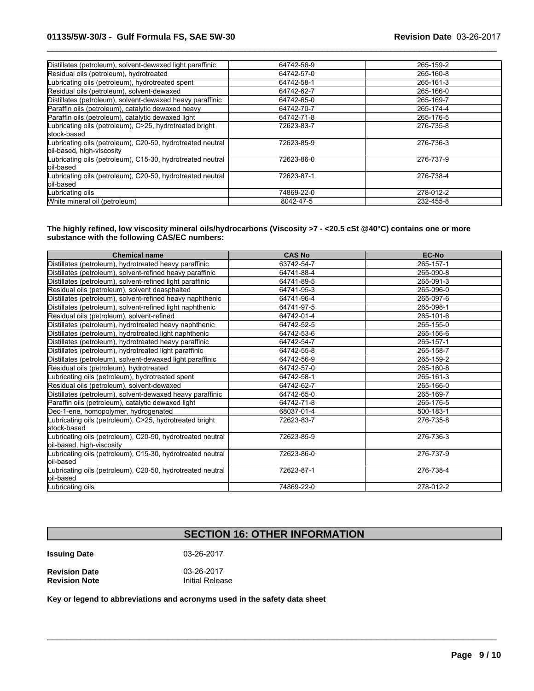| Distillates (petroleum), solvent-dewaxed light paraffinic                               | 64742-56-9 | 265-159-2 |
|-----------------------------------------------------------------------------------------|------------|-----------|
| Residual oils (petroleum), hydrotreated                                                 | 64742-57-0 | 265-160-8 |
| Lubricating oils (petroleum), hydrotreated spent                                        | 64742-58-1 | 265-161-3 |
| Residual oils (petroleum), solvent-dewaxed                                              | 64742-62-7 | 265-166-0 |
| Distillates (petroleum), solvent-dewaxed heavy paraffinic                               | 64742-65-0 | 265-169-7 |
| Paraffin oils (petroleum), catalytic dewaxed heavy                                      | 64742-70-7 | 265-174-4 |
| Paraffin oils (petroleum), catalytic dewaxed light                                      | 64742-71-8 | 265-176-5 |
| Lubricating oils (petroleum), C>25, hydrotreated bright<br>stock-based                  | 72623-83-7 | 276-735-8 |
| Lubricating oils (petroleum), C20-50, hydrotreated neutral<br>oil-based, high-viscosity | 72623-85-9 | 276-736-3 |
| Lubricating oils (petroleum), C15-30, hydrotreated neutral<br>loil-based                | 72623-86-0 | 276-737-9 |
| Lubricating oils (petroleum), C20-50, hydrotreated neutral<br>loil-based                | 72623-87-1 | 276-738-4 |
| Lubricating oils                                                                        | 74869-22-0 | 278-012-2 |
| White mineral oil (petroleum)                                                           | 8042-47-5  | 232-455-8 |

 $\_$  ,  $\_$  ,  $\_$  ,  $\_$  ,  $\_$  ,  $\_$  ,  $\_$  ,  $\_$  ,  $\_$  ,  $\_$  ,  $\_$  ,  $\_$  ,  $\_$  ,  $\_$  ,  $\_$  ,  $\_$  ,  $\_$  ,  $\_$  ,  $\_$  ,  $\_$  ,  $\_$  ,  $\_$  ,  $\_$  ,  $\_$  ,  $\_$  ,  $\_$  ,  $\_$  ,  $\_$  ,  $\_$  ,  $\_$  ,  $\_$  ,  $\_$  ,  $\_$  ,  $\_$  ,  $\_$  ,  $\_$  ,  $\_$  ,

**The highly refined, low viscosity mineral oils/hydrocarbons (Viscosity >7 - <20.5 cSt @40°C) contains one or more substance with the following CAS/EC numbers:**

| <b>Chemical name</b>                                                                    | <b>CAS No</b> | <b>EC-No</b> |
|-----------------------------------------------------------------------------------------|---------------|--------------|
| Distillates (petroleum), hydrotreated heavy paraffinic                                  | 63742-54-7    | 265-157-1    |
| Distillates (petroleum), solvent-refined heavy paraffinic                               | 64741-88-4    | 265-090-8    |
| Distillates (petroleum), solvent-refined light paraffinic                               | 64741-89-5    | 265-091-3    |
| Residual oils (petroleum), solvent deasphalted                                          | 64741-95-3    | 265-096-0    |
| Distillates (petroleum), solvent-refined heavy naphthenic                               | 64741-96-4    | 265-097-6    |
| Distillates (petroleum), solvent-refined light naphthenic                               | 64741-97-5    | 265-098-1    |
| Residual oils (petroleum), solvent-refined                                              | 64742-01-4    | 265-101-6    |
| Distillates (petroleum), hydrotreated heavy naphthenic                                  | 64742-52-5    | 265-155-0    |
| Distillates (petroleum), hydrotreated light naphthenic                                  | 64742-53-6    | 265-156-6    |
| Distillates (petroleum), hydrotreated heavy paraffinic                                  | 64742-54-7    | 265-157-1    |
| Distillates (petroleum), hydrotreated light paraffinic                                  | 64742-55-8    | 265-158-7    |
| Distillates (petroleum), solvent-dewaxed light paraffinic                               | 64742-56-9    | 265-159-2    |
| Residual oils (petroleum), hydrotreated                                                 | 64742-57-0    | 265-160-8    |
| Lubricating oils (petroleum), hydrotreated spent                                        | 64742-58-1    | 265-161-3    |
| Residual oils (petroleum), solvent-dewaxed                                              | 64742-62-7    | 265-166-0    |
| Distillates (petroleum), solvent-dewaxed heavy paraffinic                               | 64742-65-0    | 265-169-7    |
| Paraffin oils (petroleum), catalytic dewaxed light                                      | 64742-71-8    | 265-176-5    |
| Dec-1-ene, homopolymer, hydrogenated                                                    | 68037-01-4    | 500-183-1    |
| ubricating oils (petroleum), C>25, hydrotreated bright<br>lstock-based                  | 72623-83-7    | 276-735-8    |
| Lubricating oils (petroleum), C20-50, hydrotreated neutral<br>oil-based, high-viscosity | 72623-85-9    | 276-736-3    |
| Lubricating oils (petroleum), C15-30, hydrotreated neutral<br>loil-based                | 72623-86-0    | 276-737-9    |
| Lubricating oils (petroleum), C20-50, hydrotreated neutral<br>oil-based                 | 72623-87-1    | 276-738-4    |
| Lubricating oils                                                                        | 74869-22-0    | 278-012-2    |

### **SECTION 16: OTHER INFORMATION**

 $\mathcal{L}_\mathcal{L} = \{ \mathcal{L}_\mathcal{L} = \{ \mathcal{L}_\mathcal{L} = \{ \mathcal{L}_\mathcal{L} = \{ \mathcal{L}_\mathcal{L} = \{ \mathcal{L}_\mathcal{L} = \{ \mathcal{L}_\mathcal{L} = \{ \mathcal{L}_\mathcal{L} = \{ \mathcal{L}_\mathcal{L} = \{ \mathcal{L}_\mathcal{L} = \{ \mathcal{L}_\mathcal{L} = \{ \mathcal{L}_\mathcal{L} = \{ \mathcal{L}_\mathcal{L} = \{ \mathcal{L}_\mathcal{L} = \{ \mathcal{L}_\mathcal{$ 

**Issuing Date** 03-26-2017

**Revision Date 12 Constrained Base 2017**<br> **Revision Note 12 Constrained Base 2017**<br> **Revision Note 12 Constrained Base** Initial Release **Revision Note** 

**Key or legend to abbreviations and acronyms used in the safety data sheet**